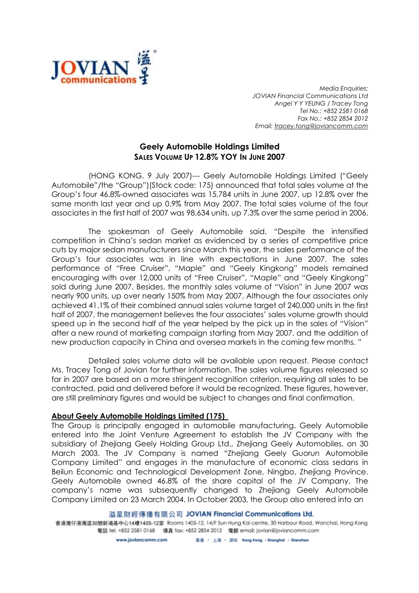

Media Enquiries: JOVIAN Financial Communications Ltd Angel Y Y YEUNG / Tracey Tong Tel No.: +852 2581 0168 Fax No.: +852 2854 2012 Email: tracey.tong@joviancomm.com

## Geely Automobile Holdings Limited SALES VOLUME UP 12.8% YOY IN JUNE 2007

(HONG KONG, 9 July 2007)--- Geely Automobile Holdings Limited ("Geely Automobile"/the "Group")(Stock code: 175) announced that total sales volume at the Group's four 46.8%-owned associates was 15,784 units in June 2007, up 12.8% over the same month last year and up 0.9% from May 2007. The total sales volume of the four associates in the first half of 2007 was 98,634 units, up 7.3% over the same period in 2006.

The spokesman of Geely Automobile said, "Despite the intensified competition in China's sedan market as evidenced by a series of competitive price cuts by major sedan manufacturers since March this year, the sales performance of the Group's four associates was in line with expectations in June 2007. The sales performance of "Free Cruiser", "Maple" and "Geely Kingkong" models remained encouraging with over 12,000 units of "Free Cruiser", "Maple" and "Geely Kingkong" sold during June 2007. Besides, the monthly sales volume of "Vision" in June 2007 was nearly 900 units, up over nearly 150% from May 2007. Although the four associates only achieved 41.1% of their combined annual sales volume target of 240,000 units in the first half of 2007, the management believes the four associates' sales volume growth should speed up in the second half of the year helped by the pick up in the sales of "Vision" after a new round of marketing campaign starting from May 2007, and the addition of new production capacity in China and oversea markets in the coming few months. "

Detailed sales volume data will be available upon request. Please contact Ms. Tracey Tong of Jovian for further information. The sales volume figures released so far in 2007 are based on a more stringent recognition criterion, requiring all sales to be contracted, paid and delivered before it would be recognized. These figures, however, are still preliminary figures and would be subject to changes and final confirmation.

## About Geely Automobile Holdings Limited (175)

The Group is principally engaged in automobile manufacturing. Geely Automobile entered into the Joint Venture Agreement to establish the JV Company with the subsidiary of Zhejiang Geely Holding Group Ltd., Zhejiang Geely Automobiles, on 30 March 2003. The JV Company is named "Zhejiang Geely Guorun Automobile Company Limited" and engages in the manufacture of economic class sedans in Beilun Economic and Technological Development Zone, Ningbo, Zhejiang Province. Geely Automobile owned 46.8% of the share capital of the JV Company. The company's name was subsequently changed to Zhejiang Geely Automobile Company Limited on 23 March 2004. In October 2003, the Group also entered into an

## 溢星財經傳播有限公司 JOVIAN Financial Communications Ltd.

香港灣仔港灣道30號新鴻基中心14樓1405-12室 Rooms 1405-12, 14/F Sun Hung Kai centre, 30 Harbour Road, Wanchai, Hong Kong 電話 tel: +852 2581 0168 傳真 fax: +852 2854 2012 電郵 email: jovian@joviancomm.com